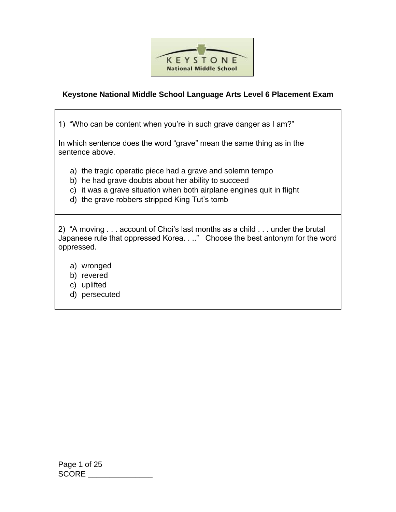

## **Keystone National Middle School Language Arts Level 6 Placement Exam**

1) "Who can be content when you're in such grave danger as I am?"

In which sentence does the word "grave" mean the same thing as in the sentence above.

- a) the tragic operatic piece had a grave and solemn tempo
- b) he had grave doubts about her ability to succeed
- c) it was a grave situation when both airplane engines quit in flight
- d) the grave robbers stripped King Tut's tomb

2) "A moving . . . account of Choi's last months as a child . . . under the brutal Japanese rule that oppressed Korea. . .." Choose the best antonym for the word oppressed.

- a) wronged
- b) revered
- c) uplifted
- d) persecuted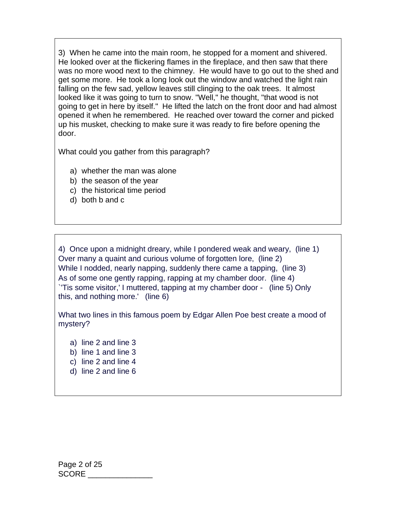3) When he came into the main room, he stopped for a moment and shivered. He looked over at the flickering flames in the fireplace, and then saw that there was no more wood next to the chimney. He would have to go out to the shed and get some more. He took a long look out the window and watched the light rain falling on the few sad, yellow leaves still clinging to the oak trees. It almost looked like it was going to turn to snow. "Well," he thought, "that wood is not going to get in here by itself." He lifted the latch on the front door and had almost opened it when he remembered. He reached over toward the corner and picked up his musket, checking to make sure it was ready to fire before opening the door.

What could you gather from this paragraph?

- a) whether the man was alone
- b) the season of the year
- c) the historical time period
- d) both b and c

4) Once upon a midnight dreary, while I pondered weak and weary, (line 1) Over many a quaint and curious volume of forgotten lore, (line 2) While I nodded, nearly napping, suddenly there came a tapping, (line 3) As of some one gently rapping, rapping at my chamber door. (line 4) `'Tis some visitor,' I muttered, tapping at my chamber door - (line 5) Only this, and nothing more.' (line 6)

What two lines in this famous poem by Edgar Allen Poe best create a mood of mystery?

- a) line 2 and line 3
- b) line 1 and line 3
- c) line 2 and line 4
- d) line 2 and line 6

Page 2 of 25 SCORE \_\_\_\_\_\_\_\_\_\_\_\_\_\_\_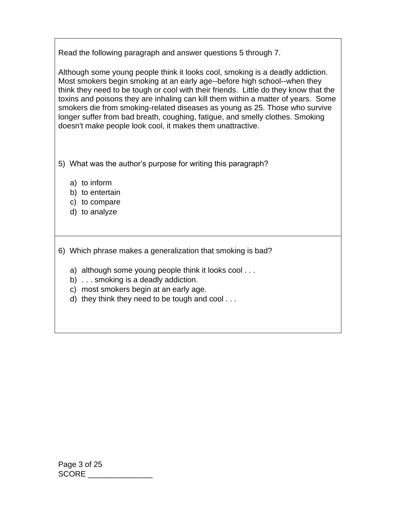Read the following paragraph and answer questions 5 through 7.

Although some young people think it looks cool, smoking is a deadly addiction. Most smokers begin smoking at an early age--before high school--when they think they need to be tough or cool with their friends. Little do they know that the toxins and poisons they are inhaling can kill them within a matter of years. Some smokers die from smoking-related diseases as young as 25. Those who survive longer suffer from bad breath, coughing, fatigue, and smelly clothes. Smoking doesn't make people look cool, it makes them unattractive.

- 5) What was the author's purpose for writing this paragraph?
	- a) to inform
	- b) to entertain
	- c) to compare
	- d) to analyze
- 6) Which phrase makes a generalization that smoking is bad?
	- a) although some young people think it looks cool . . .
	- b) . . . smoking is a deadly addiction.
	- c) most smokers begin at an early age.
	- d) they think they need to be tough and cool . . .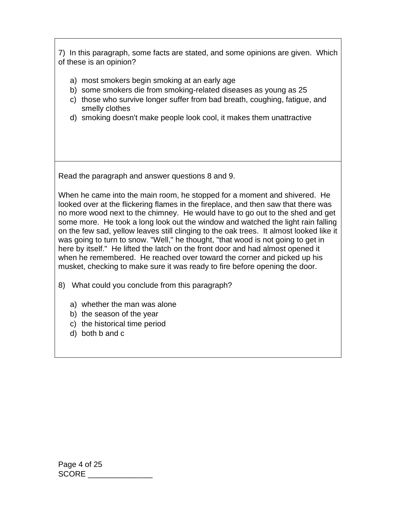7) In this paragraph, some facts are stated, and some opinions are given. Which of these is an opinion?

- a) most smokers begin smoking at an early age
- b) some smokers die from smoking-related diseases as young as 25
- c) those who survive longer suffer from bad breath, coughing, fatigue, and smelly clothes
- d) smoking doesn't make people look cool, it makes them unattractive

Read the paragraph and answer questions 8 and 9.

When he came into the main room, he stopped for a moment and shivered. He looked over at the flickering flames in the fireplace, and then saw that there was no more wood next to the chimney. He would have to go out to the shed and get some more. He took a long look out the window and watched the light rain falling on the few sad, yellow leaves still clinging to the oak trees. It almost looked like it was going to turn to snow. "Well," he thought, "that wood is not going to get in here by itself." He lifted the latch on the front door and had almost opened it when he remembered. He reached over toward the corner and picked up his musket, checking to make sure it was ready to fire before opening the door.

- 8) What could you conclude from this paragraph?
	- a) whether the man was alone
	- b) the season of the year
	- c) the historical time period
	- d) both b and c

Page 4 of 25 SCORE \_\_\_\_\_\_\_\_\_\_\_\_\_\_\_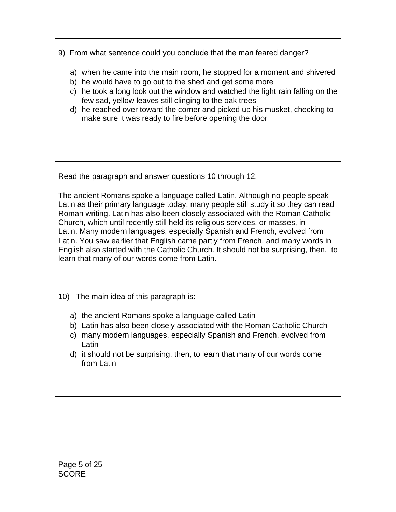9) From what sentence could you conclude that the man feared danger?

- a) when he came into the main room, he stopped for a moment and shivered
- b) he would have to go out to the shed and get some more
- c) he took a long look out the window and watched the light rain falling on the few sad, yellow leaves still clinging to the oak trees
- d) he reached over toward the corner and picked up his musket, checking to make sure it was ready to fire before opening the door

Read the paragraph and answer questions 10 through 12.

The ancient Romans spoke a language called Latin. Although no people speak Latin as their primary language today, many people still study it so they can read Roman writing. Latin has also been closely associated with the Roman Catholic Church, which until recently still held its religious services, or masses, in Latin. Many modern languages, especially Spanish and French, evolved from Latin. You saw earlier that English came partly from French, and many words in English also started with the Catholic Church. It should not be surprising, then, to learn that many of our words come from Latin.

- 10) The main idea of this paragraph is:
	- a) the ancient Romans spoke a language called Latin
	- b) Latin has also been closely associated with the Roman Catholic Church
	- c) many modern languages, especially Spanish and French, evolved from Latin
	- d) it should not be surprising, then, to learn that many of our words come from Latin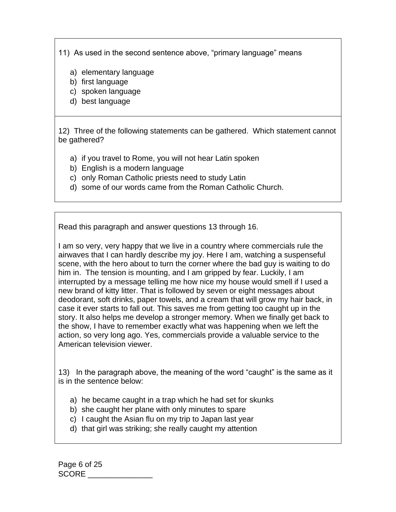11) As used in the second sentence above, "primary language" means

- a) elementary language
- b) first language
- c) spoken language
- d) best language

12) Three of the following statements can be gathered. Which statement cannot be gathered?

- a) if you travel to Rome, you will not hear Latin spoken
- b) English is a modern language
- c) only Roman Catholic priests need to study Latin
- d) some of our words came from the Roman Catholic Church.

Read this paragraph and answer questions 13 through 16.

I am so very, very happy that we live in a country where commercials rule the airwaves that I can hardly describe my joy. Here I am, watching a suspenseful scene, with the hero about to turn the corner where the bad guy is waiting to do him in. The tension is mounting, and I am gripped by fear. Luckily, I am interrupted by a message telling me how nice my house would smell if I used a new brand of kitty litter. That is followed by seven or eight messages about deodorant, soft drinks, paper towels, and a cream that will grow my hair back, in case it ever starts to fall out. This saves me from getting too caught up in the story. It also helps me develop a stronger memory. When we finally get back to the show, I have to remember exactly what was happening when we left the action, so very long ago. Yes, commercials provide a valuable service to the American television viewer.

13) In the paragraph above, the meaning of the word "caught" is the same as it is in the sentence below:

- a) he became caught in a trap which he had set for skunks
- b) she caught her plane with only minutes to spare
- c) I caught the Asian flu on my trip to Japan last year
- d) that girl was striking; she really caught my attention

Page 6 of 25 SCORE \_\_\_\_\_\_\_\_\_\_\_\_\_\_\_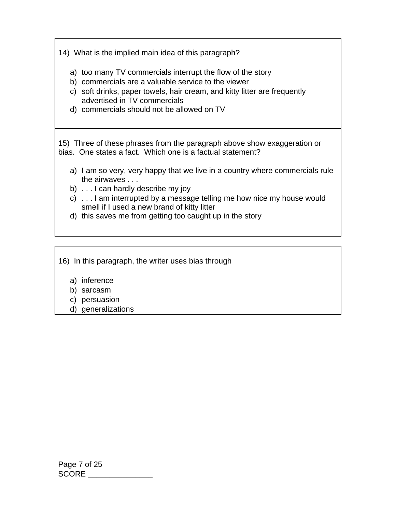14) What is the implied main idea of this paragraph?

- a) too many TV commercials interrupt the flow of the story
- b) commercials are a valuable service to the viewer
- c) soft drinks, paper towels, hair cream, and kitty litter are frequently advertised in TV commercials
- d) commercials should not be allowed on TV

15) Three of these phrases from the paragraph above show exaggeration or bias. One states a fact. Which one is a factual statement?

- a) I am so very, very happy that we live in a country where commercials rule the airwaves . . .
- b) . . . I can hardly describe my joy
- c) . . . I am interrupted by a message telling me how nice my house would smell if I used a new brand of kitty litter
- d) this saves me from getting too caught up in the story

16) In this paragraph, the writer uses bias through

- a) inference
- b) sarcasm
- c) persuasion
- d) generalizations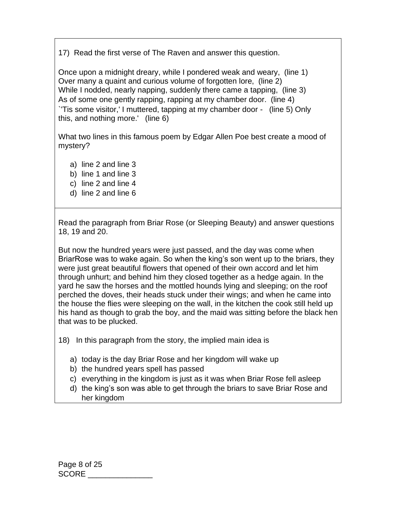17) Read the first verse of The Raven and answer this question.

Once upon a midnight dreary, while I pondered weak and weary, (line 1) Over many a quaint and curious volume of forgotten lore, (line 2) While I nodded, nearly napping, suddenly there came a tapping, (line 3) As of some one gently rapping, rapping at my chamber door. (line 4) `'Tis some visitor,' I muttered, tapping at my chamber door - (line 5) Only this, and nothing more.' (line 6)

What two lines in this famous poem by Edgar Allen Poe best create a mood of mystery?

- a) line 2 and line 3
- b) line 1 and line 3
- c) line 2 and line 4
- d) line 2 and line 6

Read the paragraph from Briar Rose (or Sleeping Beauty) and answer questions 18, 19 and 20.

But now the hundred years were just passed, and the day was come when BriarRose was to wake again. So when the king's son went up to the briars, they were just great beautiful flowers that opened of their own accord and let him through unhurt; and behind him they closed together as a hedge again. In the yard he saw the horses and the mottled hounds lying and sleeping; on the roof perched the doves, their heads stuck under their wings; and when he came into the house the flies were sleeping on the wall, in the kitchen the cook still held up his hand as though to grab the boy, and the maid was sitting before the black hen that was to be plucked.

18) In this paragraph from the story, the implied main idea is

- a) today is the day Briar Rose and her kingdom will wake up
- b) the hundred years spell has passed
- c) everything in the kingdom is just as it was when Briar Rose fell asleep
- d) the king's son was able to get through the briars to save Briar Rose and her kingdom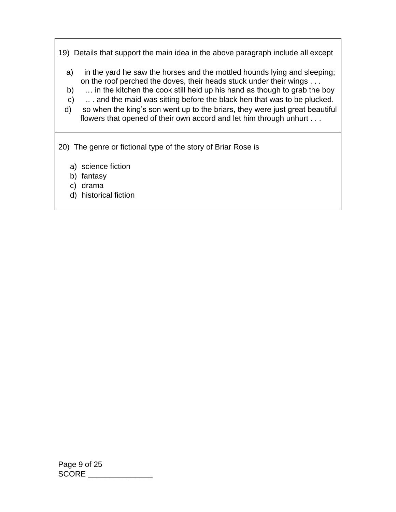19) Details that support the main idea in the above paragraph include all except

- a) in the yard he saw the horses and the mottled hounds lying and sleeping; on the roof perched the doves, their heads stuck under their wings . . .
- b) ... in the kitchen the cook still held up his hand as though to grab the boy
- c) .. . and the maid was sitting before the black hen that was to be plucked.
- d) so when the king's son went up to the briars, they were just great beautiful flowers that opened of their own accord and let him through unhurt . . .
- 20) The genre or fictional type of the story of Briar Rose is
	- a) science fiction
	- b) fantasy
	- c) drama
	- d) historical fiction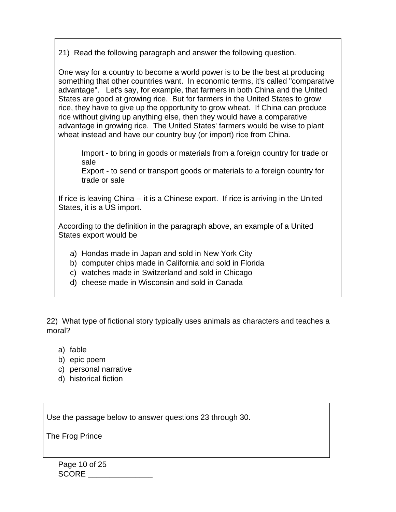21) Read the following paragraph and answer the following question.

One way for a country to become a world power is to be the best at producing something that other countries want. In economic terms, it's called "comparative advantage". Let's say, for example, that farmers in both China and the United States are good at growing rice. But for farmers in the United States to grow rice, they have to give up the opportunity to grow wheat. If China can produce rice without giving up anything else, then they would have a comparative advantage in growing rice. The United States' farmers would be wise to plant wheat instead and have our country buy (or import) rice from China.

Import - to bring in goods or materials from a foreign country for trade or sale

Export - to send or transport goods or materials to a foreign country for trade or sale

If rice is leaving China -- it is a Chinese export. If rice is arriving in the United States, it is a US import.

According to the definition in the paragraph above, an example of a United States export would be

- a) Hondas made in Japan and sold in New York City
- b) computer chips made in California and sold in Florida
- c) watches made in Switzerland and sold in Chicago
- d) cheese made in Wisconsin and sold in Canada

22) What type of fictional story typically uses animals as characters and teaches a moral?

- a) fable
- b) epic poem
- c) personal narrative
- d) historical fiction

Use the passage below to answer questions 23 through 30.

The Frog Prince

Page 10 of 25 SCORE \_\_\_\_\_\_\_\_\_\_\_\_\_\_\_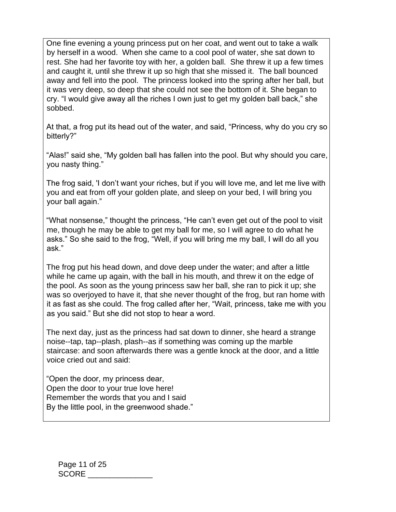One fine evening a young princess put on her coat, and went out to take a walk by herself in a wood. When she came to a cool pool of water, she sat down to rest. She had her favorite toy with her, a golden ball. She threw it up a few times and caught it, until she threw it up so high that she missed it. The ball bounced away and fell into the pool. The princess looked into the spring after her ball, but it was very deep, so deep that she could not see the bottom of it. She began to cry. "I would give away all the riches I own just to get my golden ball back," she sobbed.

At that, a frog put its head out of the water, and said, "Princess, why do you cry so bitterly?"

"Alas!" said she, "My golden ball has fallen into the pool. But why should you care, you nasty thing."

The frog said, 'I don't want your riches, but if you will love me, and let me live with you and eat from off your golden plate, and sleep on your bed, I will bring you your ball again."

"What nonsense," thought the princess, "He can't even get out of the pool to visit me, though he may be able to get my ball for me, so I will agree to do what he asks." So she said to the frog, "Well, if you will bring me my ball, I will do all you ask."

The frog put his head down, and dove deep under the water; and after a little while he came up again, with the ball in his mouth, and threw it on the edge of the pool. As soon as the young princess saw her ball, she ran to pick it up; she was so overjoyed to have it, that she never thought of the frog, but ran home with it as fast as she could. The frog called after her, "Wait, princess, take me with you as you said." But she did not stop to hear a word.

The next day, just as the princess had sat down to dinner, she heard a strange noise--tap, tap--plash, plash--as if something was coming up the marble staircase: and soon afterwards there was a gentle knock at the door, and a little voice cried out and said:

"Open the door, my princess dear, Open the door to your true love here! Remember the words that you and I said By the little pool, in the greenwood shade."

Page 11 of 25 SCORE \_\_\_\_\_\_\_\_\_\_\_\_\_\_\_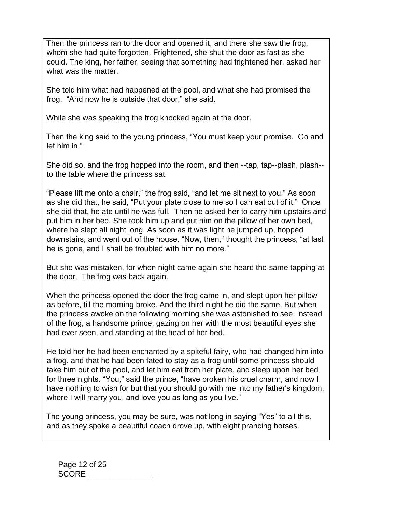Then the princess ran to the door and opened it, and there she saw the frog, whom she had quite forgotten. Frightened, she shut the door as fast as she could. The king, her father, seeing that something had frightened her, asked her what was the matter.

She told him what had happened at the pool, and what she had promised the frog. "And now he is outside that door," she said.

While she was speaking the frog knocked again at the door.

Then the king said to the young princess, "You must keep your promise. Go and let him in."

She did so, and the frog hopped into the room, and then --tap, tap--plash, plash- to the table where the princess sat.

"Please lift me onto a chair," the frog said, "and let me sit next to you." As soon as she did that, he said, "Put your plate close to me so I can eat out of it." Once she did that, he ate until he was full. Then he asked her to carry him upstairs and put him in her bed. She took him up and put him on the pillow of her own bed, where he slept all night long. As soon as it was light he jumped up, hopped downstairs, and went out of the house. "Now, then," thought the princess, "at last he is gone, and I shall be troubled with him no more."

But she was mistaken, for when night came again she heard the same tapping at the door. The frog was back again.

When the princess opened the door the frog came in, and slept upon her pillow as before, till the morning broke. And the third night he did the same. But when the princess awoke on the following morning she was astonished to see, instead of the frog, a handsome prince, gazing on her with the most beautiful eyes she had ever seen, and standing at the head of her bed.

He told her he had been enchanted by a spiteful fairy, who had changed him into a frog, and that he had been fated to stay as a frog until some princess should take him out of the pool, and let him eat from her plate, and sleep upon her bed for three nights. "You," said the prince, "have broken his cruel charm, and now I have nothing to wish for but that you should go with me into my father's kingdom, where I will marry you, and love you as long as you live."

The young princess, you may be sure, was not long in saying "Yes" to all this, and as they spoke a beautiful coach drove up, with eight prancing horses.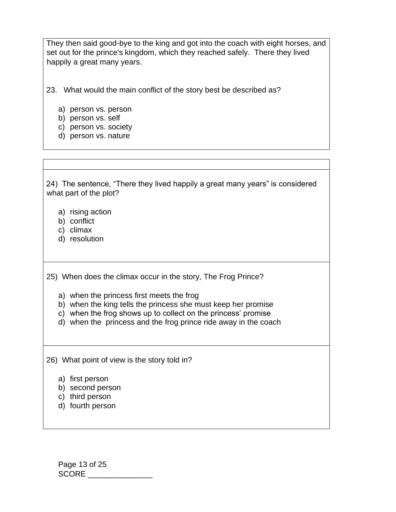They then said good-bye to the king and got into the coach with eight horses, and set out for the prince's kingdom, which they reached safely. There they lived happily a great many years.

23. What would the main conflict of the story best be described as?

- a) person vs. person
- b) person vs. self
- c) person vs. society
- d) person vs. nature

24) The sentence, "There they lived happily a great many years" is considered what part of the plot?

- a) rising action
- b) conflict
- c) climax
- d) resolution

25) When does the climax occur in the story, The Frog Prince?

- a) when the princess first meets the frog
- b) when the king tells the princess she must keep her promise
- c) when the frog shows up to collect on the princess' promise
- d) when the princess and the frog prince ride away in the coach

26) What point of view is the story told in?

- a) first person
- b) second person
- c) third person
- d) fourth person

Page 13 of 25 SCORE \_\_\_\_\_\_\_\_\_\_\_\_\_\_\_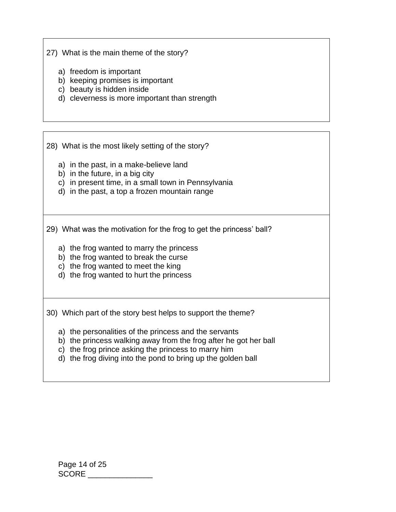27) What is the main theme of the story?

- a) freedom is important
- b) keeping promises is important
- c) beauty is hidden inside
- d) cleverness is more important than strength

28) What is the most likely setting of the story?

- a) in the past, in a make-believe land
- b) in the future, in a big city
- c) in present time, in a small town in Pennsylvania
- d) in the past, a top a frozen mountain range

29) What was the motivation for the frog to get the princess' ball?

- a) the frog wanted to marry the princess
- b) the frog wanted to break the curse
- c) the frog wanted to meet the king
- d) the frog wanted to hurt the princess

30) Which part of the story best helps to support the theme?

- a) the personalities of the princess and the servants
- b) the princess walking away from the frog after he got her ball
- c) the frog prince asking the princess to marry him
- d) the frog diving into the pond to bring up the golden ball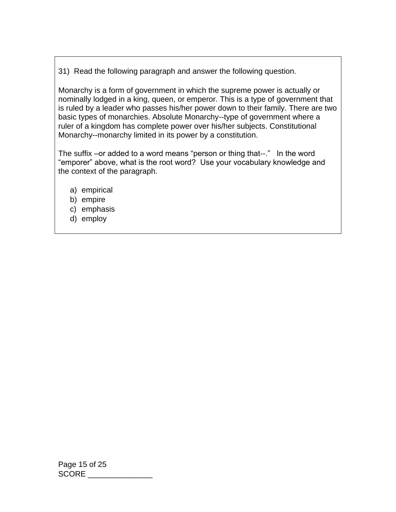31) Read the following paragraph and answer the following question.

Monarchy is a form of government in which the supreme power is actually or nominally lodged in a king, queen, or emperor. This is a type of government that is ruled by a leader who passes his/her power down to their family. There are two basic types of monarchies. Absolute Monarchy--type of government where a ruler of a kingdom has complete power over his/her subjects. Constitutional Monarchy--monarchy limited in its power by a constitution.

The suffix –or added to a word means "person or thing that--." In the word "emporer" above, what is the root word? Use your vocabulary knowledge and the context of the paragraph.

- a) empirical
- b) empire
- c) emphasis
- d) employ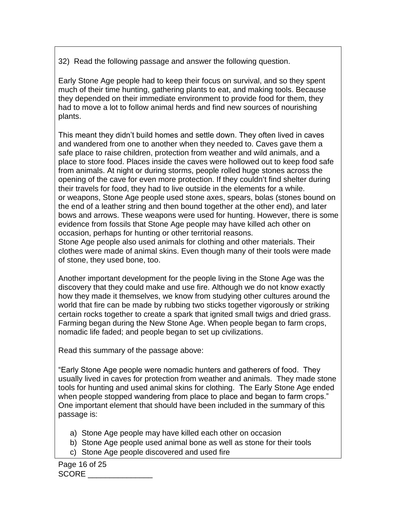32) Read the following passage and answer the following question.

Early Stone Age people had to keep their focus on survival, and so they spent much of their time hunting, gathering plants to eat, and making tools. Because they depended on their immediate environment to provide food for them, they had to move a lot to follow animal herds and find new sources of nourishing plants.

This meant they didn't build homes and settle down. They often lived in caves and wandered from one to another when they needed to. Caves gave them a safe place to raise children, protection from weather and wild animals, and a place to store food. Places inside the caves were hollowed out to keep food safe from animals. At night or during storms, people rolled huge stones across the opening of the cave for even more protection. If they couldn't find shelter during their travels for food, they had to live outside in the elements for a while. or weapons, Stone Age people used stone axes, spears, bolas (stones bound on the end of a leather string and then bound together at the other end), and later bows and arrows. These weapons were used for hunting. However, there is some evidence from fossils that Stone Age people may have killed ach other on occasion, perhaps for hunting or other territorial reasons. Stone Age people also used animals for clothing and other materials. Their clothes were made of animal skins. Even though many of their tools were made

of stone, they used bone, too.

Another important development for the people living in the Stone Age was the discovery that they could make and use fire. Although we do not know exactly how they made it themselves, we know from studying other cultures around the world that fire can be made by rubbing two sticks together vigorously or striking certain rocks together to create a spark that ignited small twigs and dried grass. Farming began during the New Stone Age. When people began to farm crops, nomadic life faded; and people began to set up civilizations.

Read this summary of the passage above:

"Early Stone Age people were nomadic hunters and gatherers of food. They usually lived in caves for protection from weather and animals. They made stone tools for hunting and used animal skins for clothing. The Early Stone Age ended when people stopped wandering from place to place and began to farm crops." One important element that should have been included in the summary of this passage is:

- a) Stone Age people may have killed each other on occasion
- b) Stone Age people used animal bone as well as stone for their tools
- c) Stone Age people discovered and used fire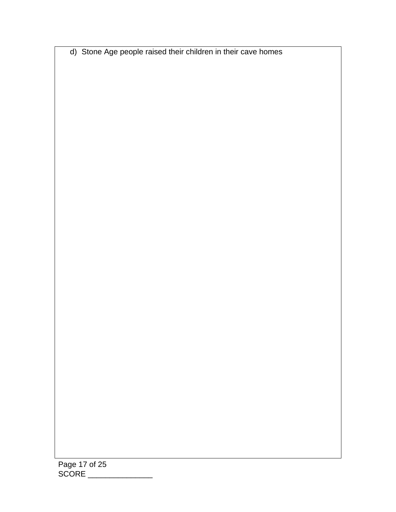d) Stone Age people raised their children in their cave homes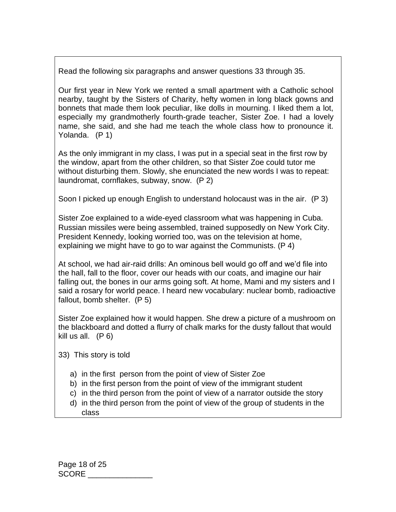Read the following six paragraphs and answer questions 33 through 35.

Our first year in New York we rented a small apartment with a Catholic school nearby, taught by the Sisters of Charity, hefty women in long black gowns and bonnets that made them look peculiar, like dolls in mourning. I liked them a lot, especially my grandmotherly fourth-grade teacher, Sister Zoe. I had a lovely name, she said, and she had me teach the whole class how to pronounce it. Yolanda. (P 1)

As the only immigrant in my class, I was put in a special seat in the first row by the window, apart from the other children, so that Sister Zoe could tutor me without disturbing them. Slowly, she enunciated the new words I was to repeat: laundromat, cornflakes, subway, snow. (P 2)

Soon I picked up enough English to understand holocaust was in the air. (P 3)

Sister Zoe explained to a wide-eyed classroom what was happening in Cuba. Russian missiles were being assembled, trained supposedly on New York City. President Kennedy, looking worried too, was on the television at home, explaining we might have to go to war against the Communists. (P 4)

At school, we had air-raid drills: An ominous bell would go off and we'd file into the hall, fall to the floor, cover our heads with our coats, and imagine our hair falling out, the bones in our arms going soft. At home, Mami and my sisters and I said a rosary for world peace. I heard new vocabulary: nuclear bomb, radioactive fallout, bomb shelter. (P 5)

Sister Zoe explained how it would happen. She drew a picture of a mushroom on the blackboard and dotted a flurry of chalk marks for the dusty fallout that would kill us all. (P 6)

- 33) This story is told
	- a) in the first person from the point of view of Sister Zoe
	- b) in the first person from the point of view of the immigrant student
	- c) in the third person from the point of view of a narrator outside the story
	- d) in the third person from the point of view of the group of students in the class

Page 18 of 25 SCORE \_\_\_\_\_\_\_\_\_\_\_\_\_\_\_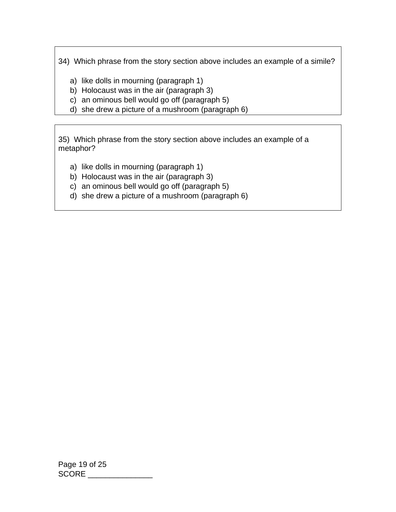34) Which phrase from the story section above includes an example of a simile?

- a) like dolls in mourning (paragraph 1)
- b) Holocaust was in the air (paragraph 3)
- c) an ominous bell would go off (paragraph 5)
- d) she drew a picture of a mushroom (paragraph 6)

35) Which phrase from the story section above includes an example of a metaphor?

- a) like dolls in mourning (paragraph 1)
- b) Holocaust was in the air (paragraph 3)
- c) an ominous bell would go off (paragraph 5)
- d) she drew a picture of a mushroom (paragraph 6)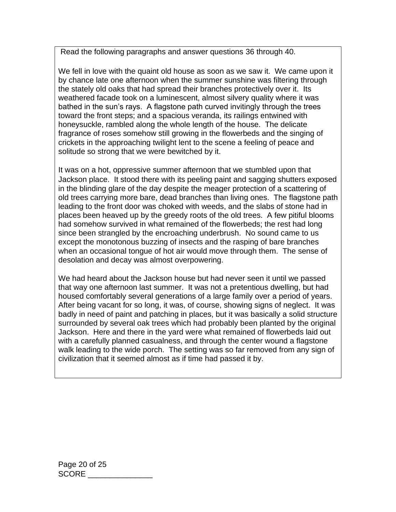Read the following paragraphs and answer questions 36 through 40.

We fell in love with the quaint old house as soon as we saw it. We came upon it by chance late one afternoon when the summer sunshine was filtering through the stately old oaks that had spread their branches protectively over it. Its weathered facade took on a luminescent, almost silvery quality where it was bathed in the sun's rays. A flagstone path curved invitingly through the trees toward the front steps; and a spacious veranda, its railings entwined with honeysuckle, rambled along the whole length of the house. The delicate fragrance of roses somehow still growing in the flowerbeds and the singing of crickets in the approaching twilight lent to the scene a feeling of peace and solitude so strong that we were bewitched by it.

It was on a hot, oppressive summer afternoon that we stumbled upon that Jackson place. It stood there with its peeling paint and sagging shutters exposed in the blinding glare of the day despite the meager protection of a scattering of old trees carrying more bare, dead branches than living ones. The flagstone path leading to the front door was choked with weeds, and the slabs of stone had in places been heaved up by the greedy roots of the old trees. A few pitiful blooms had somehow survived in what remained of the flowerbeds; the rest had long since been strangled by the encroaching underbrush. No sound came to us except the monotonous buzzing of insects and the rasping of bare branches when an occasional tongue of hot air would move through them. The sense of desolation and decay was almost overpowering.

We had heard about the Jackson house but had never seen it until we passed that way one afternoon last summer. It was not a pretentious dwelling, but had housed comfortably several generations of a large family over a period of years. After being vacant for so long, it was, of course, showing signs of neglect. It was badly in need of paint and patching in places, but it was basically a solid structure surrounded by several oak trees which had probably been planted by the original Jackson. Here and there in the yard were what remained of flowerbeds laid out with a carefully planned casualness, and through the center wound a flagstone walk leading to the wide porch. The setting was so far removed from any sign of civilization that it seemed almost as if time had passed it by.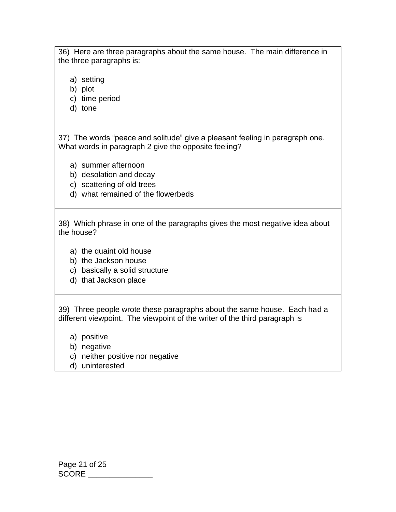36) Here are three paragraphs about the same house. The main difference in the three paragraphs is:

- a) setting
- b) plot
- c) time period
- d) tone

37) The words "peace and solitude" give a pleasant feeling in paragraph one. What words in paragraph 2 give the opposite feeling?

- a) summer afternoon
- b) desolation and decay
- c) scattering of old trees
- d) what remained of the flowerbeds

38) Which phrase in one of the paragraphs gives the most negative idea about the house?

- a) the quaint old house
- b) the Jackson house
- c) basically a solid structure
- d) that Jackson place

39) Three people wrote these paragraphs about the same house. Each had a different viewpoint. The viewpoint of the writer of the third paragraph is

- a) positive
- b) negative
- c) neither positive nor negative
- d) uninterested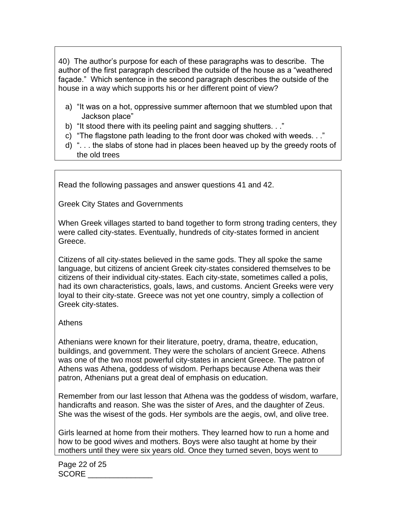40) The author's purpose for each of these paragraphs was to describe. The author of the first paragraph described the outside of the house as a "weathered façade." Which sentence in the second paragraph describes the outside of the house in a way which supports his or her different point of view?

- a) "It was on a hot, oppressive summer afternoon that we stumbled upon that Jackson place"
- b) "It stood there with its peeling paint and sagging shutters. . ."
- c) "The flagstone path leading to the front door was choked with weeds. . ."
- d) ". . . the slabs of stone had in places been heaved up by the greedy roots of the old trees

Read the following passages and answer questions 41 and 42.

Greek City States and Governments

When Greek villages started to band together to form strong trading centers, they were called city-states. Eventually, hundreds of city-states formed in ancient Greece.

Citizens of all city-states believed in the same gods. They all spoke the same language, but citizens of ancient Greek city-states considered themselves to be citizens of their individual city-states. Each city-state, sometimes called a polis, had its own characteristics, goals, laws, and customs. Ancient Greeks were very loyal to their city-state. Greece was not yet one country, simply a collection of Greek city-states.

## Athens

Athenians were known for their literature, poetry, drama, theatre, education, buildings, and government. They were the scholars of ancient Greece. Athens was one of the two most powerful city-states in ancient Greece. The patron of Athens was Athena, goddess of wisdom. Perhaps because Athena was their patron, Athenians put a great deal of emphasis on education.

Remember from our last lesson that Athena was the goddess of wisdom, warfare, handicrafts and reason. She was the sister of Ares, and the daughter of Zeus. She was the wisest of the gods. Her symbols are the aegis, owl, and olive tree.

Girls learned at home from their mothers. They learned how to run a home and how to be good wives and mothers. Boys were also taught at home by their mothers until they were six years old. Once they turned seven, boys went to

Page 22 of 25 SCORE \_\_\_\_\_\_\_\_\_\_\_\_\_\_\_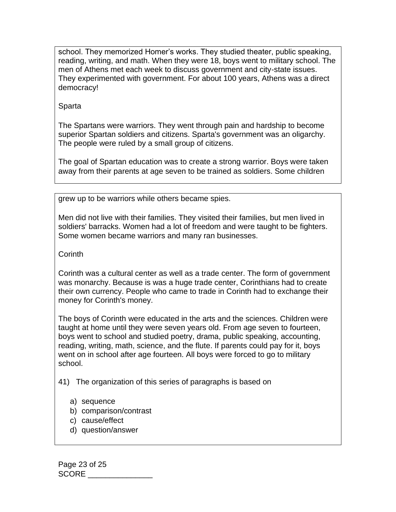school. They memorized Homer's works. They studied theater, public speaking, reading, writing, and math. When they were 18, boys went to military school. The men of Athens met each week to discuss government and city-state issues. They experimented with government. For about 100 years, Athens was a direct democracy!

## Sparta

The Spartans were warriors. They went through pain and hardship to become superior Spartan soldiers and citizens. Sparta's government was an oligarchy. The people were ruled by a small group of citizens.

The goal of Spartan education was to create a strong warrior. Boys were taken away from their parents at age seven to be trained as soldiers. Some children

grew up to be warriors while others became spies.

Men did not live with their families. They visited their families, but men lived in soldiers' barracks. Women had a lot of freedom and were taught to be fighters. Some women became warriors and many ran businesses.

**Corinth** 

Corinth was a cultural center as well as a trade center. The form of government was monarchy. Because is was a huge trade center, Corinthians had to create their own currency. People who came to trade in Corinth had to exchange their money for Corinth's money.

The boys of Corinth were educated in the arts and the sciences. Children were taught at home until they were seven years old. From age seven to fourteen, boys went to school and studied poetry, drama, public speaking, accounting, reading, writing, math, science, and the flute. If parents could pay for it, boys went on in school after age fourteen. All boys were forced to go to military school.

41) The organization of this series of paragraphs is based on

- a) sequence
- b) comparison/contrast
- c) cause/effect
- d) question/answer

Page 23 of 25 SCORE \_\_\_\_\_\_\_\_\_\_\_\_\_\_\_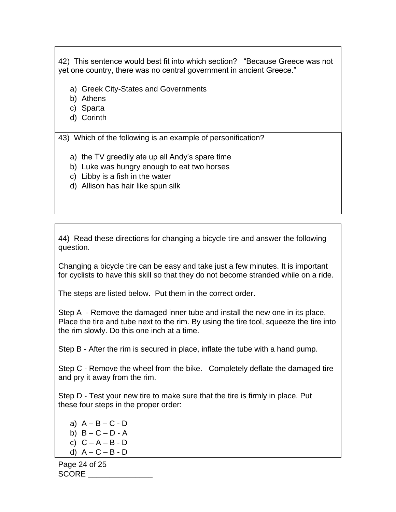42) This sentence would best fit into which section? "Because Greece was not yet one country, there was no central government in ancient Greece."

- a) Greek City-States and Governments
- b) Athens
- c) Sparta
- d) Corinth

43) Which of the following is an example of personification?

- a) the TV greedily ate up all Andy's spare time
- b) Luke was hungry enough to eat two horses
- c) Libby is a fish in the water
- d) Allison has hair like spun silk

44) Read these directions for changing a bicycle tire and answer the following question.

Changing a bicycle tire can be easy and take just a few minutes. It is important for cyclists to have this skill so that they do not become stranded while on a ride.

The steps are listed below. Put them in the correct order.

Step A - Remove the damaged inner tube and install the new one in its place. Place the tire and tube next to the rim. By using the tire tool, squeeze the tire into the rim slowly. Do this one inch at a time.

Step B - After the rim is secured in place, inflate the tube with a hand pump.

Step C - Remove the wheel from the bike. Completely deflate the damaged tire and pry it away from the rim.

Step D - Test your new tire to make sure that the tire is firmly in place. Put these four steps in the proper order:

a)  $A - B - C - D$ b)  $B - C - D - A$ c)  $C - A - B - D$ d)  $A - C - B - D$